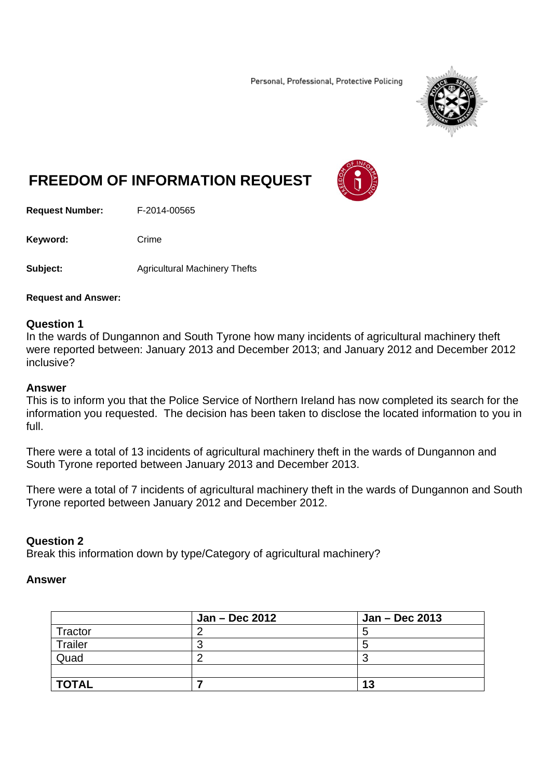Personal, Professional, Protective Policing



# **FREEDOM OF INFORMATION REQUEST**

**Request Number:** F-2014-00565

Keyword: Crime

**Subject: Agricultural Machinery Thefts** 

**Request and Answer:** 

#### **Question 1**

In the wards of Dungannon and South Tyrone how many incidents of agricultural machinery theft were reported between: January 2013 and December 2013; and January 2012 and December 2012 inclusive?

#### **Answer**

This is to inform you that the Police Service of Northern Ireland has now completed its search for the information you requested. The decision has been taken to disclose the located information to you in full.

There were a total of 13 incidents of agricultural machinery theft in the wards of Dungannon and South Tyrone reported between January 2013 and December 2013.

There were a total of 7 incidents of agricultural machinery theft in the wards of Dungannon and South Tyrone reported between January 2012 and December 2012.

## **Question 2**

Break this information down by type/Category of agricultural machinery?

#### **Answer**

|              | Jan - Dec 2012 | Jan - Dec 2013 |
|--------------|----------------|----------------|
| Tractor      |                |                |
| Trailer      |                | о              |
| Quad         |                |                |
|              |                |                |
| <b>TOTAL</b> |                | 13             |